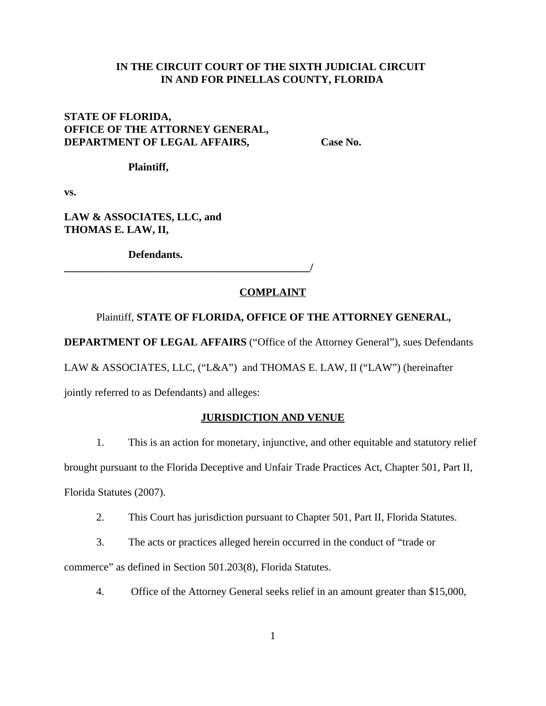### **IN THE CIRCUIT COURT OF THE SIXTH JUDICIAL CIRCUIT IN AND FOR PINELLAS COUNTY, FLORIDA**

# **STATE OF FLORIDA, OFFICE OF THE ATTORNEY GENERAL, DEPARTMENT OF LEGAL AFFAIRS, Case No.**

**Plaintiff,**

**vs.**

**LAW & ASSOCIATES, LLC, and THOMAS E. LAW, II,**

**Defendants.**

# **\_\_\_\_\_\_\_\_\_\_\_\_\_\_\_\_\_\_\_\_\_\_\_\_\_\_\_\_\_\_\_\_\_\_\_\_\_\_\_\_\_\_\_\_\_\_/**

#### **COMPLAINT**

#### Plaintiff, **STATE OF FLORIDA, OFFICE OF THE ATTORNEY GENERAL,**

**DEPARTMENT OF LEGAL AFFAIRS** ("Office of the Attorney General"), sues Defendants

LAW & ASSOCIATES, LLC, ("L&A") and THOMAS E. LAW, II ("LAW") (hereinafter

jointly referred to as Defendants) and alleges:

#### **JURISDICTION AND VENUE**

1. This is an action for monetary, injunctive, and other equitable and statutory relief brought pursuant to the Florida Deceptive and Unfair Trade Practices Act, Chapter 501, Part II, Florida Statutes (2007).

2. This Court has jurisdiction pursuant to Chapter 501, Part II, Florida Statutes.

3. The acts or practices alleged herein occurred in the conduct of "trade or commerce" as defined in Section 501.203(8), Florida Statutes.

4. Office of the Attorney General seeks relief in an amount greater than \$15,000,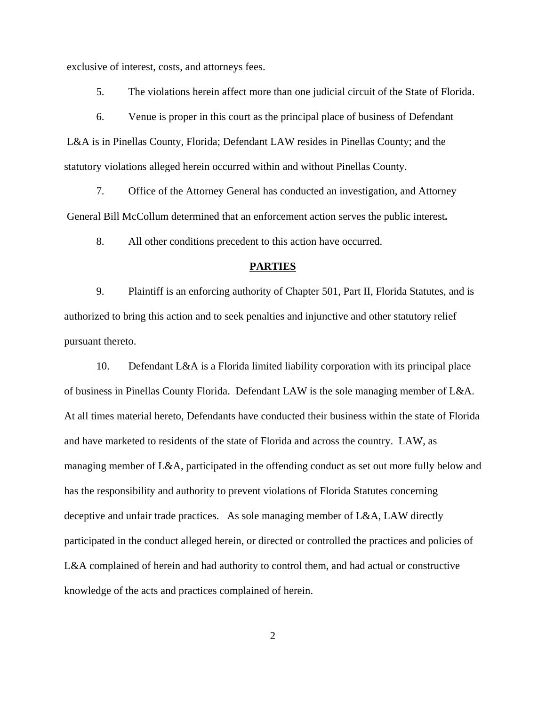exclusive of interest, costs, and attorneys fees.

5. The violations herein affect more than one judicial circuit of the State of Florida.

6. Venue is proper in this court as the principal place of business of Defendant L&A is in Pinellas County, Florida; Defendant LAW resides in Pinellas County; and the statutory violations alleged herein occurred within and without Pinellas County.

7. Office of the Attorney General has conducted an investigation, and Attorney General Bill McCollum determined that an enforcement action serves the public interest**.** 

8. All other conditions precedent to this action have occurred.

### **PARTIES**

9. Plaintiff is an enforcing authority of Chapter 501, Part II, Florida Statutes, and is authorized to bring this action and to seek penalties and injunctive and other statutory relief pursuant thereto.

10. Defendant L&A is a Florida limited liability corporation with its principal place of business in Pinellas County Florida. Defendant LAW is the sole managing member of L&A. At all times material hereto, Defendants have conducted their business within the state of Florida and have marketed to residents of the state of Florida and across the country. LAW, as managing member of L&A, participated in the offending conduct as set out more fully below and has the responsibility and authority to prevent violations of Florida Statutes concerning deceptive and unfair trade practices. As sole managing member of L&A, LAW directly participated in the conduct alleged herein, or directed or controlled the practices and policies of L&A complained of herein and had authority to control them, and had actual or constructive knowledge of the acts and practices complained of herein.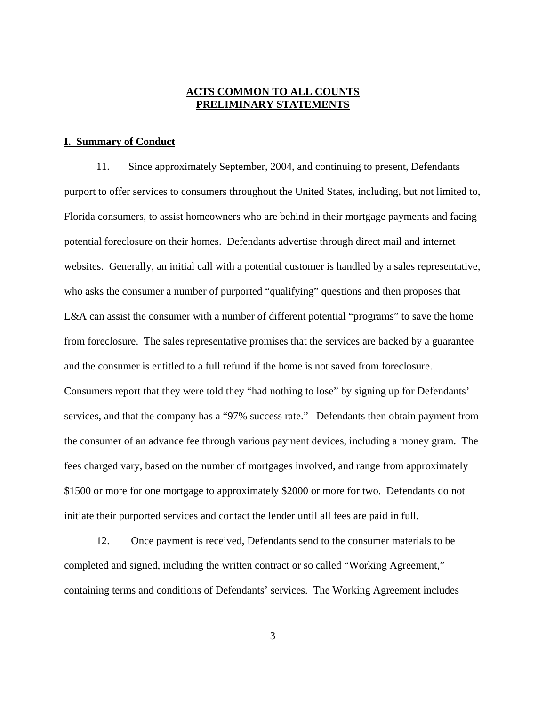### **ACTS COMMON TO ALL COUNTS PRELIMINARY STATEMENTS**

#### **I. Summary of Conduct**

11. Since approximately September, 2004, and continuing to present, Defendants purport to offer services to consumers throughout the United States, including, but not limited to, Florida consumers, to assist homeowners who are behind in their mortgage payments and facing potential foreclosure on their homes. Defendants advertise through direct mail and internet websites. Generally, an initial call with a potential customer is handled by a sales representative, who asks the consumer a number of purported "qualifying" questions and then proposes that L&A can assist the consumer with a number of different potential "programs" to save the home from foreclosure. The sales representative promises that the services are backed by a guarantee and the consumer is entitled to a full refund if the home is not saved from foreclosure. Consumers report that they were told they "had nothing to lose" by signing up for Defendants' services, and that the company has a "97% success rate." Defendants then obtain payment from the consumer of an advance fee through various payment devices, including a money gram. The fees charged vary, based on the number of mortgages involved, and range from approximately \$1500 or more for one mortgage to approximately \$2000 or more for two. Defendants do not initiate their purported services and contact the lender until all fees are paid in full.

12. Once payment is received, Defendants send to the consumer materials to be completed and signed, including the written contract or so called "Working Agreement," containing terms and conditions of Defendants' services. The Working Agreement includes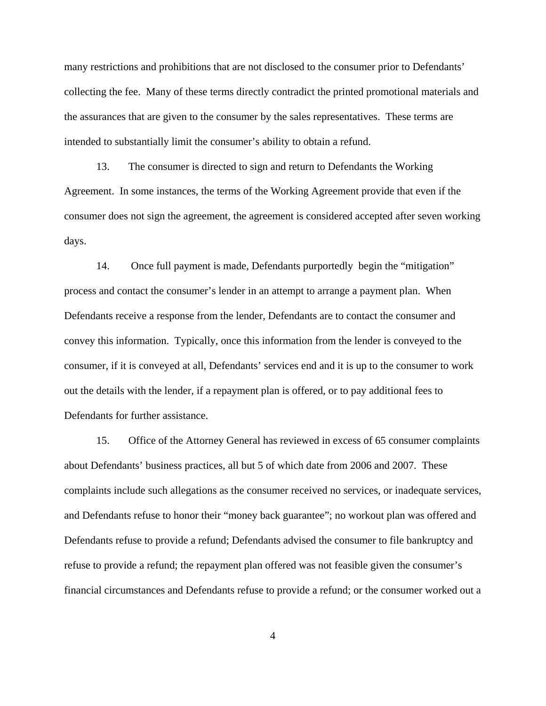many restrictions and prohibitions that are not disclosed to the consumer prior to Defendants' collecting the fee. Many of these terms directly contradict the printed promotional materials and the assurances that are given to the consumer by the sales representatives. These terms are intended to substantially limit the consumer's ability to obtain a refund.

13. The consumer is directed to sign and return to Defendants the Working Agreement. In some instances, the terms of the Working Agreement provide that even if the consumer does not sign the agreement, the agreement is considered accepted after seven working days.

14. Once full payment is made, Defendants purportedly begin the "mitigation" process and contact the consumer's lender in an attempt to arrange a payment plan. When Defendants receive a response from the lender, Defendants are to contact the consumer and convey this information. Typically, once this information from the lender is conveyed to the consumer, if it is conveyed at all, Defendants' services end and it is up to the consumer to work out the details with the lender, if a repayment plan is offered, or to pay additional fees to Defendants for further assistance.

15. Office of the Attorney General has reviewed in excess of 65 consumer complaints about Defendants' business practices, all but 5 of which date from 2006 and 2007. These complaints include such allegations as the consumer received no services, or inadequate services, and Defendants refuse to honor their "money back guarantee"; no workout plan was offered and Defendants refuse to provide a refund; Defendants advised the consumer to file bankruptcy and refuse to provide a refund; the repayment plan offered was not feasible given the consumer's financial circumstances and Defendants refuse to provide a refund; or the consumer worked out a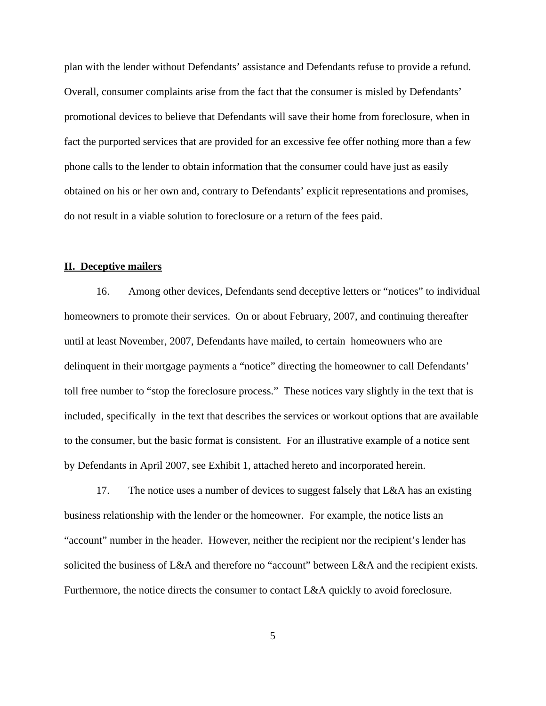plan with the lender without Defendants' assistance and Defendants refuse to provide a refund. Overall, consumer complaints arise from the fact that the consumer is misled by Defendants' promotional devices to believe that Defendants will save their home from foreclosure, when in fact the purported services that are provided for an excessive fee offer nothing more than a few phone calls to the lender to obtain information that the consumer could have just as easily obtained on his or her own and, contrary to Defendants' explicit representations and promises, do not result in a viable solution to foreclosure or a return of the fees paid.

### **II. Deceptive mailers**

16. Among other devices, Defendants send deceptive letters or "notices" to individual homeowners to promote their services. On or about February, 2007, and continuing thereafter until at least November, 2007, Defendants have mailed, to certain homeowners who are delinquent in their mortgage payments a "notice" directing the homeowner to call Defendants' toll free number to "stop the foreclosure process." These notices vary slightly in the text that is included, specifically in the text that describes the services or workout options that are available to the consumer, but the basic format is consistent. For an illustrative example of a notice sent by Defendants in April 2007, see Exhibit 1, attached hereto and incorporated herein.

17. The notice uses a number of devices to suggest falsely that L&A has an existing business relationship with the lender or the homeowner. For example, the notice lists an "account" number in the header. However, neither the recipient nor the recipient's lender has solicited the business of L&A and therefore no "account" between L&A and the recipient exists. Furthermore, the notice directs the consumer to contact L&A quickly to avoid foreclosure.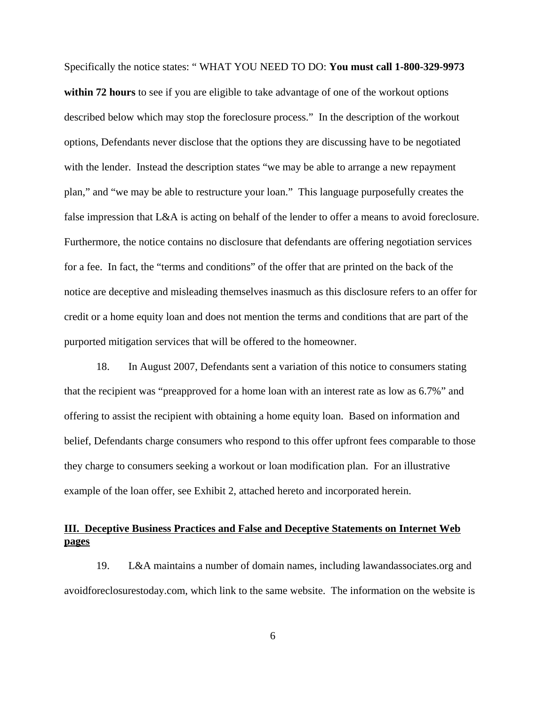Specifically the notice states: " WHAT YOU NEED TO DO: **You must call 1-800-329-9973** within 72 hours to see if you are eligible to take advantage of one of the workout options described below which may stop the foreclosure process." In the description of the workout options, Defendants never disclose that the options they are discussing have to be negotiated with the lender. Instead the description states "we may be able to arrange a new repayment plan," and "we may be able to restructure your loan." This language purposefully creates the false impression that L&A is acting on behalf of the lender to offer a means to avoid foreclosure. Furthermore, the notice contains no disclosure that defendants are offering negotiation services for a fee. In fact, the "terms and conditions" of the offer that are printed on the back of the notice are deceptive and misleading themselves inasmuch as this disclosure refers to an offer for credit or a home equity loan and does not mention the terms and conditions that are part of the purported mitigation services that will be offered to the homeowner.

18. In August 2007, Defendants sent a variation of this notice to consumers stating that the recipient was "preapproved for a home loan with an interest rate as low as 6.7%" and offering to assist the recipient with obtaining a home equity loan. Based on information and belief, Defendants charge consumers who respond to this offer upfront fees comparable to those they charge to consumers seeking a workout or loan modification plan. For an illustrative example of the loan offer, see Exhibit 2, attached hereto and incorporated herein.

# **III. Deceptive Business Practices and False and Deceptive Statements on Internet Web pages**

19. L&A maintains a number of domain names, including lawandassociates.org and avoidforeclosurestoday.com, which link to the same website. The information on the website is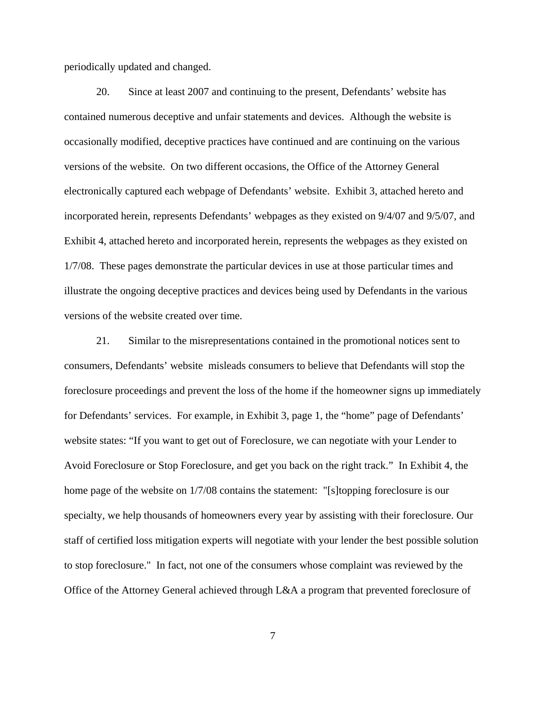periodically updated and changed.

20. Since at least 2007 and continuing to the present, Defendants' website has contained numerous deceptive and unfair statements and devices. Although the website is occasionally modified, deceptive practices have continued and are continuing on the various versions of the website. On two different occasions, the Office of the Attorney General electronically captured each webpage of Defendants' website. Exhibit 3, attached hereto and incorporated herein, represents Defendants' webpages as they existed on 9/4/07 and 9/5/07, and Exhibit 4, attached hereto and incorporated herein, represents the webpages as they existed on 1/7/08. These pages demonstrate the particular devices in use at those particular times and illustrate the ongoing deceptive practices and devices being used by Defendants in the various versions of the website created over time.

21. Similar to the misrepresentations contained in the promotional notices sent to consumers, Defendants' website misleads consumers to believe that Defendants will stop the foreclosure proceedings and prevent the loss of the home if the homeowner signs up immediately for Defendants' services. For example, in Exhibit 3, page 1, the "home" page of Defendants' website states: "If you want to get out of Foreclosure, we can negotiate with your Lender to Avoid Foreclosure or Stop Foreclosure, and get you back on the right track." In Exhibit 4, the home page of the website on 1/7/08 contains the statement: "[s]topping foreclosure is our specialty, we help thousands of homeowners every year by assisting with their foreclosure. Our staff of certified loss mitigation experts will negotiate with your lender the best possible solution to stop foreclosure." In fact, not one of the consumers whose complaint was reviewed by the Office of the Attorney General achieved through L&A a program that prevented foreclosure of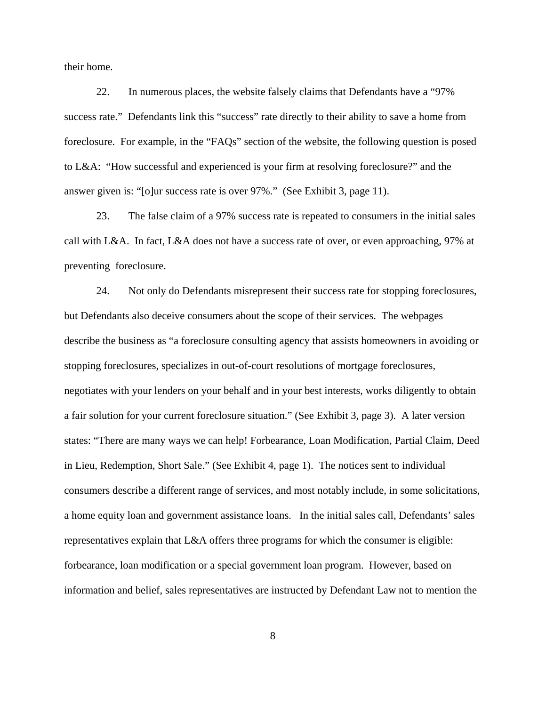their home.

22. In numerous places, the website falsely claims that Defendants have a "97% success rate." Defendants link this "success" rate directly to their ability to save a home from foreclosure. For example, in the "FAQs" section of the website, the following question is posed to L&A: "How successful and experienced is your firm at resolving foreclosure?" and the answer given is: "[o]ur success rate is over 97%." (See Exhibit 3, page 11).

23. The false claim of a 97% success rate is repeated to consumers in the initial sales call with L&A. In fact, L&A does not have a success rate of over, or even approaching, 97% at preventing foreclosure.

24. Not only do Defendants misrepresent their success rate for stopping foreclosures, but Defendants also deceive consumers about the scope of their services. The webpages describe the business as "a foreclosure consulting agency that assists homeowners in avoiding or stopping foreclosures, specializes in out-of-court resolutions of mortgage foreclosures, negotiates with your lenders on your behalf and in your best interests, works diligently to obtain a fair solution for your current foreclosure situation." (See Exhibit 3, page 3). A later version states: "There are many ways we can help! Forbearance, Loan Modification, Partial Claim, Deed in Lieu, Redemption, Short Sale." (See Exhibit 4, page 1). The notices sent to individual consumers describe a different range of services, and most notably include, in some solicitations, a home equity loan and government assistance loans. In the initial sales call, Defendants' sales representatives explain that L&A offers three programs for which the consumer is eligible: forbearance, loan modification or a special government loan program. However, based on information and belief, sales representatives are instructed by Defendant Law not to mention the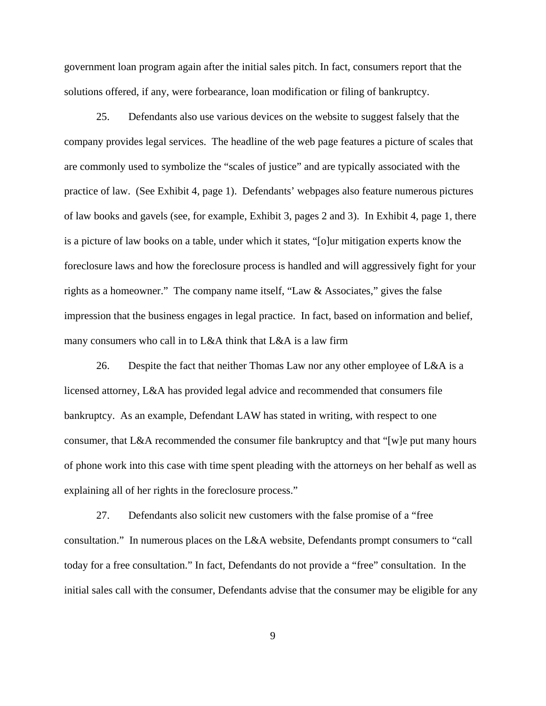government loan program again after the initial sales pitch. In fact, consumers report that the solutions offered, if any, were forbearance, loan modification or filing of bankruptcy.

25. Defendants also use various devices on the website to suggest falsely that the company provides legal services. The headline of the web page features a picture of scales that are commonly used to symbolize the "scales of justice" and are typically associated with the practice of law. (See Exhibit 4, page 1). Defendants' webpages also feature numerous pictures of law books and gavels (see, for example, Exhibit 3, pages 2 and 3). In Exhibit 4, page 1, there is a picture of law books on a table, under which it states, "[o]ur mitigation experts know the foreclosure laws and how the foreclosure process is handled and will aggressively fight for your rights as a homeowner." The company name itself, "Law & Associates," gives the false impression that the business engages in legal practice. In fact, based on information and belief, many consumers who call in to L&A think that L&A is a law firm

26. Despite the fact that neither Thomas Law nor any other employee of L&A is a licensed attorney, L&A has provided legal advice and recommended that consumers file bankruptcy. As an example, Defendant LAW has stated in writing, with respect to one consumer, that L&A recommended the consumer file bankruptcy and that "[w]e put many hours of phone work into this case with time spent pleading with the attorneys on her behalf as well as explaining all of her rights in the foreclosure process."

27. Defendants also solicit new customers with the false promise of a "free consultation." In numerous places on the L&A website, Defendants prompt consumers to "call today for a free consultation." In fact, Defendants do not provide a "free" consultation. In the initial sales call with the consumer, Defendants advise that the consumer may be eligible for any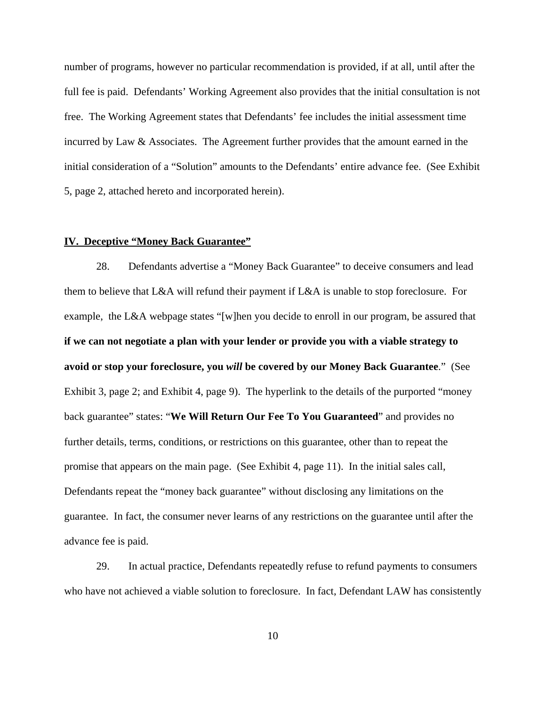number of programs, however no particular recommendation is provided, if at all, until after the full fee is paid. Defendants' Working Agreement also provides that the initial consultation is not free. The Working Agreement states that Defendants' fee includes the initial assessment time incurred by Law & Associates. The Agreement further provides that the amount earned in the initial consideration of a "Solution" amounts to the Defendants' entire advance fee. (See Exhibit 5, page 2, attached hereto and incorporated herein).

#### **IV. Deceptive "Money Back Guarantee"**

28. Defendants advertise a "Money Back Guarantee" to deceive consumers and lead them to believe that L&A will refund their payment if L&A is unable to stop foreclosure. For example, the L&A webpage states "[w]hen you decide to enroll in our program, be assured that **if we can not negotiate a plan with your lender or provide you with a viable strategy to avoid or stop your foreclosure, you** *will* **be covered by our Money Back Guarantee**." (See Exhibit 3, page 2; and Exhibit 4, page 9). The hyperlink to the details of the purported "money back guarantee" states: "**We Will Return Our Fee To You Guaranteed**" and provides no further details, terms, conditions, or restrictions on this guarantee, other than to repeat the promise that appears on the main page. (See Exhibit 4, page 11). In the initial sales call, Defendants repeat the "money back guarantee" without disclosing any limitations on the guarantee. In fact, the consumer never learns of any restrictions on the guarantee until after the advance fee is paid.

29. In actual practice, Defendants repeatedly refuse to refund payments to consumers who have not achieved a viable solution to foreclosure. In fact, Defendant LAW has consistently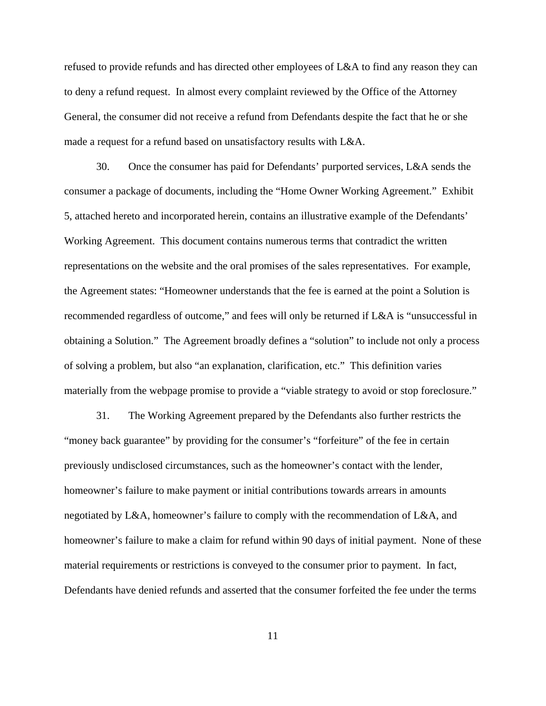refused to provide refunds and has directed other employees of L&A to find any reason they can to deny a refund request. In almost every complaint reviewed by the Office of the Attorney General, the consumer did not receive a refund from Defendants despite the fact that he or she made a request for a refund based on unsatisfactory results with L&A.

30. Once the consumer has paid for Defendants' purported services, L&A sends the consumer a package of documents, including the "Home Owner Working Agreement." Exhibit 5, attached hereto and incorporated herein, contains an illustrative example of the Defendants' Working Agreement. This document contains numerous terms that contradict the written representations on the website and the oral promises of the sales representatives. For example, the Agreement states: "Homeowner understands that the fee is earned at the point a Solution is recommended regardless of outcome," and fees will only be returned if L&A is "unsuccessful in obtaining a Solution." The Agreement broadly defines a "solution" to include not only a process of solving a problem, but also "an explanation, clarification, etc." This definition varies materially from the webpage promise to provide a "viable strategy to avoid or stop foreclosure."

31. The Working Agreement prepared by the Defendants also further restricts the "money back guarantee" by providing for the consumer's "forfeiture" of the fee in certain previously undisclosed circumstances, such as the homeowner's contact with the lender, homeowner's failure to make payment or initial contributions towards arrears in amounts negotiated by L&A, homeowner's failure to comply with the recommendation of L&A, and homeowner's failure to make a claim for refund within 90 days of initial payment. None of these material requirements or restrictions is conveyed to the consumer prior to payment. In fact, Defendants have denied refunds and asserted that the consumer forfeited the fee under the terms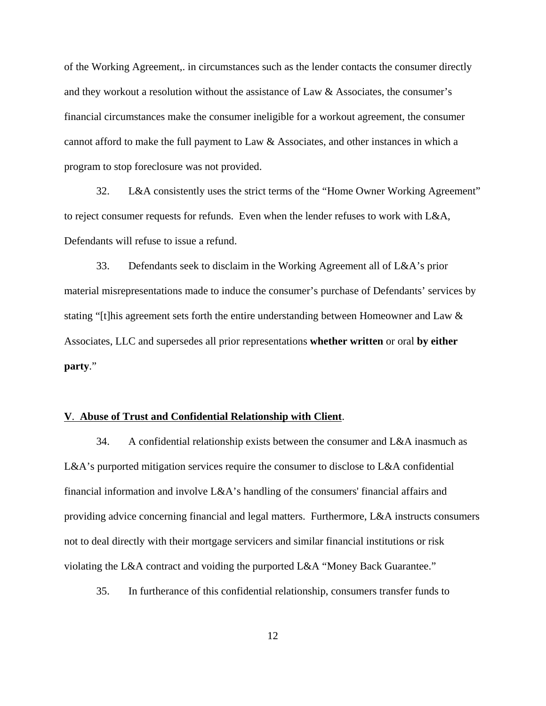of the Working Agreement,. in circumstances such as the lender contacts the consumer directly and they workout a resolution without the assistance of Law & Associates, the consumer's financial circumstances make the consumer ineligible for a workout agreement, the consumer cannot afford to make the full payment to Law & Associates, and other instances in which a program to stop foreclosure was not provided.

32. L&A consistently uses the strict terms of the "Home Owner Working Agreement" to reject consumer requests for refunds. Even when the lender refuses to work with L&A, Defendants will refuse to issue a refund.

33. Defendants seek to disclaim in the Working Agreement all of L&A's prior material misrepresentations made to induce the consumer's purchase of Defendants' services by stating "[t]his agreement sets forth the entire understanding between Homeowner and Law & Associates, LLC and supersedes all prior representations **whether written** or oral **by either party**."

#### **V**. **Abuse of Trust and Confidential Relationship with Client**.

34. A confidential relationship exists between the consumer and L&A inasmuch as L&A's purported mitigation services require the consumer to disclose to L&A confidential financial information and involve L&A's handling of the consumers' financial affairs and providing advice concerning financial and legal matters. Furthermore, L&A instructs consumers not to deal directly with their mortgage servicers and similar financial institutions or risk violating the L&A contract and voiding the purported L&A "Money Back Guarantee."

35. In furtherance of this confidential relationship, consumers transfer funds to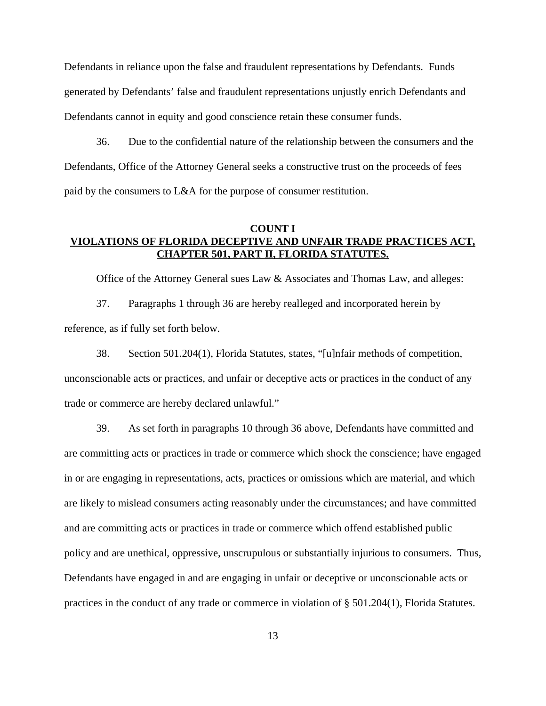Defendants in reliance upon the false and fraudulent representations by Defendants. Funds generated by Defendants' false and fraudulent representations unjustly enrich Defendants and Defendants cannot in equity and good conscience retain these consumer funds.

36. Due to the confidential nature of the relationship between the consumers and the Defendants, Office of the Attorney General seeks a constructive trust on the proceeds of fees paid by the consumers to L&A for the purpose of consumer restitution.

### **COUNT I VIOLATIONS OF FLORIDA DECEPTIVE AND UNFAIR TRADE PRACTICES ACT, CHAPTER 501, PART II, FLORIDA STATUTES.**

Office of the Attorney General sues Law & Associates and Thomas Law, and alleges:

37. Paragraphs 1 through 36 are hereby realleged and incorporated herein by reference, as if fully set forth below.

38. Section 501.204(1), Florida Statutes, states, "[u]nfair methods of competition, unconscionable acts or practices, and unfair or deceptive acts or practices in the conduct of any trade or commerce are hereby declared unlawful."

39. As set forth in paragraphs 10 through 36 above, Defendants have committed and are committing acts or practices in trade or commerce which shock the conscience; have engaged in or are engaging in representations, acts, practices or omissions which are material, and which are likely to mislead consumers acting reasonably under the circumstances; and have committed and are committing acts or practices in trade or commerce which offend established public policy and are unethical, oppressive, unscrupulous or substantially injurious to consumers. Thus, Defendants have engaged in and are engaging in unfair or deceptive or unconscionable acts or practices in the conduct of any trade or commerce in violation of § 501.204(1), Florida Statutes.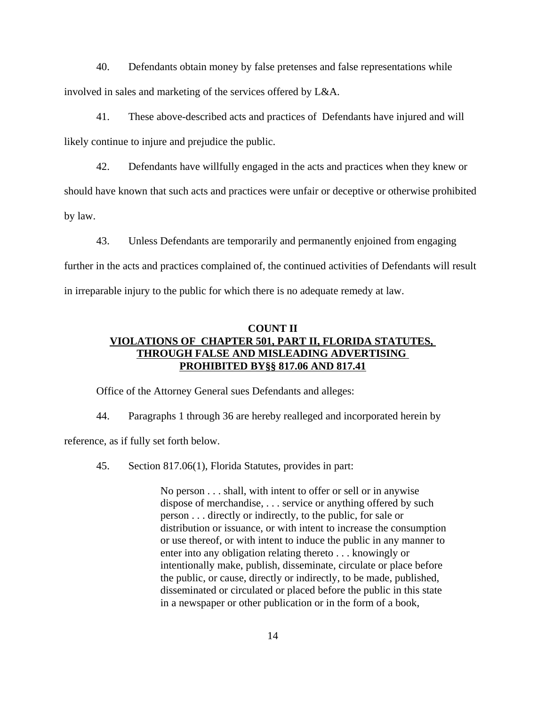40. Defendants obtain money by false pretenses and false representations while involved in sales and marketing of the services offered by L&A.

41. These above-described acts and practices of Defendants have injured and will likely continue to injure and prejudice the public.

42. Defendants have willfully engaged in the acts and practices when they knew or should have known that such acts and practices were unfair or deceptive or otherwise prohibited by law.

43. Unless Defendants are temporarily and permanently enjoined from engaging

further in the acts and practices complained of, the continued activities of Defendants will result in irreparable injury to the public for which there is no adequate remedy at law.

# **COUNT II VIOLATIONS OF CHAPTER 501, PART II, FLORIDA STATUTES, THROUGH FALSE AND MISLEADING ADVERTISING PROHIBITED BY§§ 817.06 AND 817.41**

Office of the Attorney General sues Defendants and alleges:

44. Paragraphs 1 through 36 are hereby realleged and incorporated herein by

reference, as if fully set forth below.

45. Section 817.06(1), Florida Statutes, provides in part:

No person . . . shall, with intent to offer or sell or in anywise dispose of merchandise, . . . service or anything offered by such person . . . directly or indirectly, to the public, for sale or distribution or issuance, or with intent to increase the consumption or use thereof, or with intent to induce the public in any manner to enter into any obligation relating thereto . . . knowingly or intentionally make, publish, disseminate, circulate or place before the public, or cause, directly or indirectly, to be made, published, disseminated or circulated or placed before the public in this state in a newspaper or other publication or in the form of a book,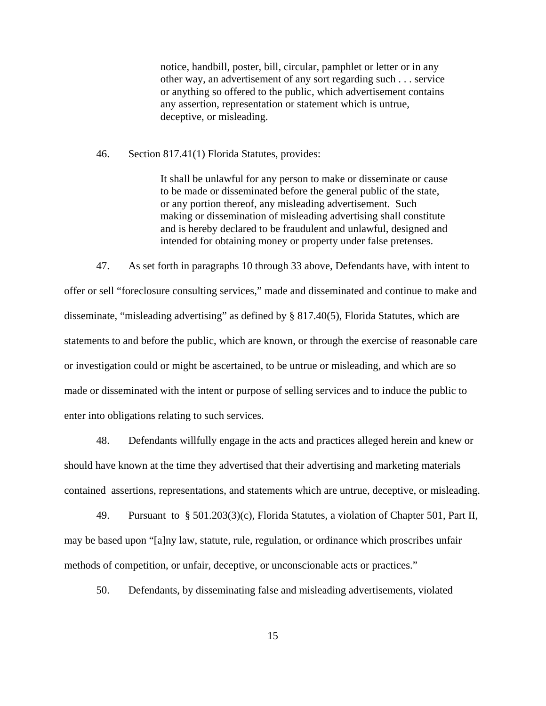notice, handbill, poster, bill, circular, pamphlet or letter or in any other way, an advertisement of any sort regarding such . . . service or anything so offered to the public, which advertisement contains any assertion, representation or statement which is untrue, deceptive, or misleading.

46. Section 817.41(1) Florida Statutes, provides:

It shall be unlawful for any person to make or disseminate or cause to be made or disseminated before the general public of the state, or any portion thereof, any misleading advertisement. Such making or dissemination of misleading advertising shall constitute and is hereby declared to be fraudulent and unlawful, designed and intended for obtaining money or property under false pretenses.

47. As set forth in paragraphs 10 through 33 above, Defendants have, with intent to offer or sell "foreclosure consulting services," made and disseminated and continue to make and disseminate, "misleading advertising" as defined by § 817.40(5), Florida Statutes, which are statements to and before the public, which are known, or through the exercise of reasonable care or investigation could or might be ascertained, to be untrue or misleading, and which are so made or disseminated with the intent or purpose of selling services and to induce the public to enter into obligations relating to such services.

48. Defendants willfully engage in the acts and practices alleged herein and knew or should have known at the time they advertised that their advertising and marketing materials contained assertions, representations, and statements which are untrue, deceptive, or misleading.

49. Pursuant to § 501.203(3)(c), Florida Statutes, a violation of Chapter 501, Part II, may be based upon "[a]ny law, statute, rule, regulation, or ordinance which proscribes unfair methods of competition, or unfair, deceptive, or unconscionable acts or practices."

50. Defendants, by disseminating false and misleading advertisements, violated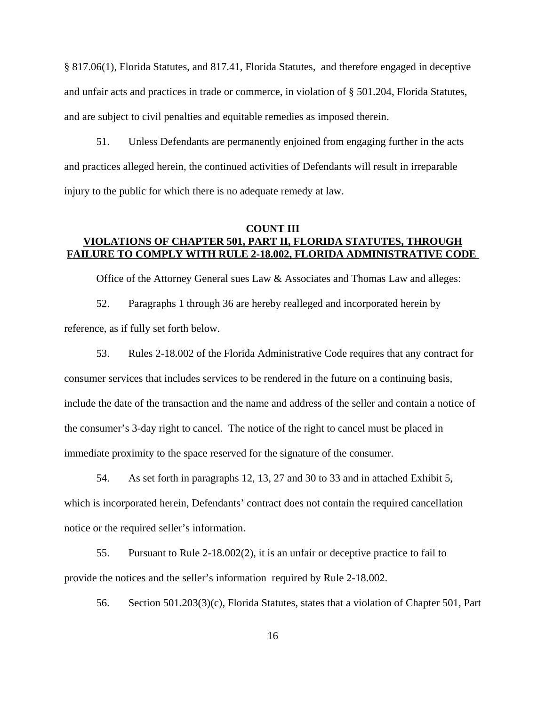§ 817.06(1), Florida Statutes, and 817.41, Florida Statutes, and therefore engaged in deceptive and unfair acts and practices in trade or commerce, in violation of § 501.204, Florida Statutes, and are subject to civil penalties and equitable remedies as imposed therein.

51. Unless Defendants are permanently enjoined from engaging further in the acts and practices alleged herein, the continued activities of Defendants will result in irreparable injury to the public for which there is no adequate remedy at law.

### **COUNT III VIOLATIONS OF CHAPTER 501, PART II, FLORIDA STATUTES, THROUGH FAILURE TO COMPLY WITH RULE 2-18.002, FLORIDA ADMINISTRATIVE CODE**

Office of the Attorney General sues Law & Associates and Thomas Law and alleges:

52. Paragraphs 1 through 36 are hereby realleged and incorporated herein by reference, as if fully set forth below.

53. Rules 2-18.002 of the Florida Administrative Code requires that any contract for consumer services that includes services to be rendered in the future on a continuing basis, include the date of the transaction and the name and address of the seller and contain a notice of the consumer's 3-day right to cancel. The notice of the right to cancel must be placed in immediate proximity to the space reserved for the signature of the consumer.

54. As set forth in paragraphs 12, 13, 27 and 30 to 33 and in attached Exhibit 5, which is incorporated herein, Defendants' contract does not contain the required cancellation notice or the required seller's information.

55. Pursuant to Rule 2-18.002(2), it is an unfair or deceptive practice to fail to provide the notices and the seller's information required by Rule 2-18.002.

56. Section 501.203(3)(c), Florida Statutes, states that a violation of Chapter 501, Part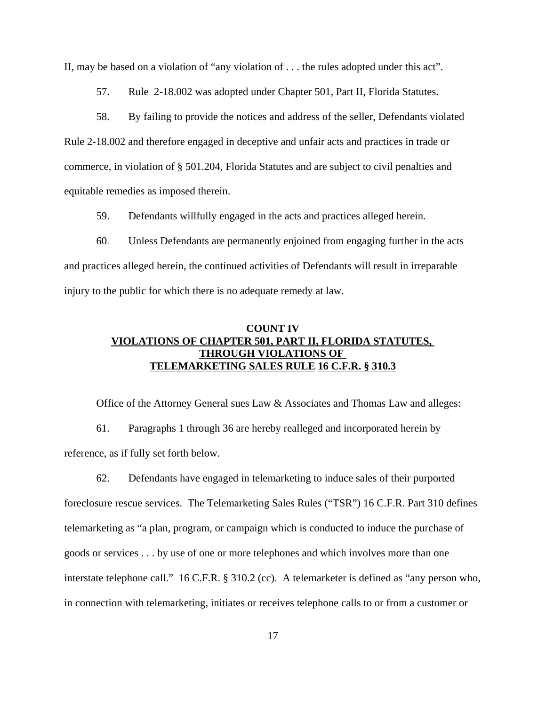II, may be based on a violation of "any violation of . . . the rules adopted under this act".

57. Rule 2-18.002 was adopted under Chapter 501, Part II, Florida Statutes.

58. By failing to provide the notices and address of the seller, Defendants violated Rule 2-18.002 and therefore engaged in deceptive and unfair acts and practices in trade or commerce, in violation of § 501.204, Florida Statutes and are subject to civil penalties and equitable remedies as imposed therein.

59. Defendants willfully engaged in the acts and practices alleged herein.

60. Unless Defendants are permanently enjoined from engaging further in the acts and practices alleged herein, the continued activities of Defendants will result in irreparable injury to the public for which there is no adequate remedy at law.

# **COUNT IV VIOLATIONS OF CHAPTER 501, PART II, FLORIDA STATUTES, THROUGH VIOLATIONS OF TELEMARKETING SALES RULE 16 C.F.R. § 310.3**

Office of the Attorney General sues Law & Associates and Thomas Law and alleges:

61. Paragraphs 1 through 36 are hereby realleged and incorporated herein by reference, as if fully set forth below.

62. Defendants have engaged in telemarketing to induce sales of their purported foreclosure rescue services. The Telemarketing Sales Rules ("TSR") 16 C.F.R. Part 310 defines telemarketing as "a plan, program, or campaign which is conducted to induce the purchase of goods or services . . . by use of one or more telephones and which involves more than one interstate telephone call." 16 C.F.R. § 310.2 (cc). A telemarketer is defined as "any person who, in connection with telemarketing, initiates or receives telephone calls to or from a customer or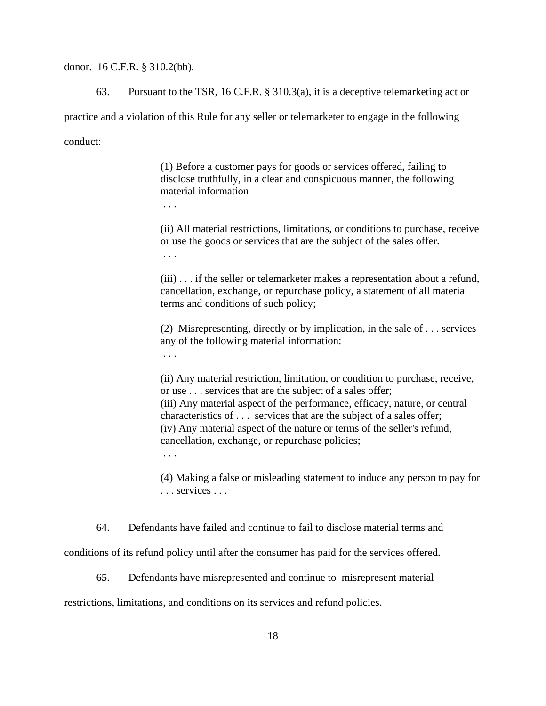donor. 16 C.F.R. § 310.2(bb).

63. Pursuant to the TSR, 16 C.F.R. § 310.3(a), it is a deceptive telemarketing act or practice and a violation of this Rule for any seller or telemarketer to engage in the following conduct:

> (1) Before a customer pays for goods or services offered, failing to disclose truthfully, in a clear and conspicuous manner, the following material information

. . .

(ii) All material restrictions, limitations, or conditions to purchase, receive or use the goods or services that are the subject of the sales offer. . . .

(iii) . . . if the seller or telemarketer makes a representation about a refund, cancellation, exchange, or repurchase policy, a statement of all material terms and conditions of such policy;

(2) Misrepresenting, directly or by implication, in the sale of . . . services any of the following material information:

. . .

(ii) Any material restriction, limitation, or condition to purchase, receive, or use . . . services that are the subject of a sales offer; (iii) Any material aspect of the performance, efficacy, nature, or central characteristics of . . . services that are the subject of a sales offer; (iv) Any material aspect of the nature or terms of the seller's refund, cancellation, exchange, or repurchase policies; . . .

(4) Making a false or misleading statement to induce any person to pay for . . . services . . .

64. Defendants have failed and continue to fail to disclose material terms and

conditions of its refund policy until after the consumer has paid for the services offered.

65. Defendants have misrepresented and continue to misrepresent material

restrictions, limitations, and conditions on its services and refund policies.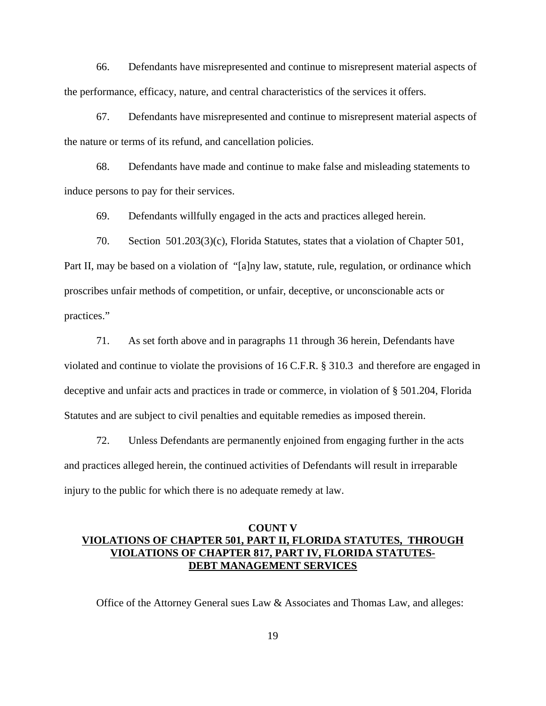66. Defendants have misrepresented and continue to misrepresent material aspects of the performance, efficacy, nature, and central characteristics of the services it offers.

67. Defendants have misrepresented and continue to misrepresent material aspects of the nature or terms of its refund, and cancellation policies.

68. Defendants have made and continue to make false and misleading statements to induce persons to pay for their services.

69. Defendants willfully engaged in the acts and practices alleged herein.

70. Section 501.203(3)(c), Florida Statutes, states that a violation of Chapter 501, Part II, may be based on a violation of "[a]ny law, statute, rule, regulation, or ordinance which proscribes unfair methods of competition, or unfair, deceptive, or unconscionable acts or practices."

71. As set forth above and in paragraphs 11 through 36 herein, Defendants have violated and continue to violate the provisions of 16 C.F.R. § 310.3 and therefore are engaged in deceptive and unfair acts and practices in trade or commerce, in violation of § 501.204, Florida Statutes and are subject to civil penalties and equitable remedies as imposed therein.

72. Unless Defendants are permanently enjoined from engaging further in the acts and practices alleged herein, the continued activities of Defendants will result in irreparable injury to the public for which there is no adequate remedy at law.

### **COUNT V VIOLATIONS OF CHAPTER 501, PART II, FLORIDA STATUTES, THROUGH VIOLATIONS OF CHAPTER 817, PART IV, FLORIDA STATUTES-DEBT MANAGEMENT SERVICES**

Office of the Attorney General sues Law & Associates and Thomas Law, and alleges: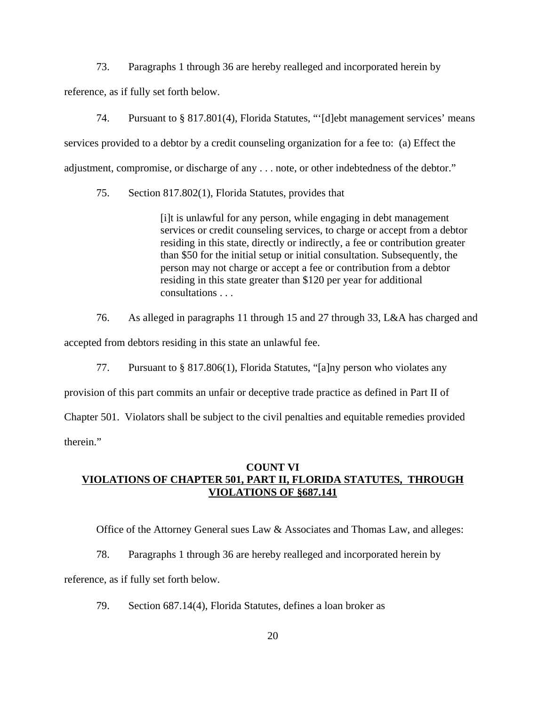73. Paragraphs 1 through 36 are hereby realleged and incorporated herein by reference, as if fully set forth below.

74. Pursuant to § 817.801(4), Florida Statutes, "'[d]ebt management services' means services provided to a debtor by a credit counseling organization for a fee to: (a) Effect the adjustment, compromise, or discharge of any . . . note, or other indebtedness of the debtor."

75. Section 817.802(1), Florida Statutes, provides that

[i]t is unlawful for any person, while engaging in debt management services or credit counseling services, to charge or accept from a debtor residing in this state, directly or indirectly, a fee or contribution greater than \$50 for the initial setup or initial consultation. Subsequently, the person may not charge or accept a fee or contribution from a debtor residing in this state greater than \$120 per year for additional consultations . . .

76. As alleged in paragraphs 11 through 15 and 27 through 33, L&A has charged and

accepted from debtors residing in this state an unlawful fee.

77. Pursuant to § 817.806(1), Florida Statutes, "[a]ny person who violates any

provision of this part commits an unfair or deceptive trade practice as defined in Part II of

Chapter 501. Violators shall be subject to the civil penalties and equitable remedies provided

therein."

# **COUNT VI VIOLATIONS OF CHAPTER 501, PART II, FLORIDA STATUTES, THROUGH VIOLATIONS OF §687.141**

Office of the Attorney General sues Law & Associates and Thomas Law, and alleges:

78. Paragraphs 1 through 36 are hereby realleged and incorporated herein by

reference, as if fully set forth below.

79. Section 687.14(4), Florida Statutes, defines a loan broker as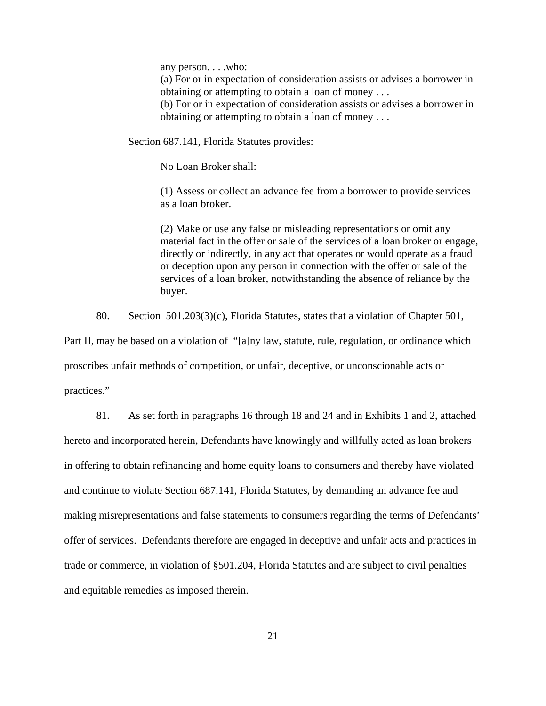any person. . . .who:

(a) For or in expectation of consideration assists or advises a borrower in obtaining or attempting to obtain a loan of money . . .

(b) For or in expectation of consideration assists or advises a borrower in obtaining or attempting to obtain a loan of money . . .

Section 687.141, Florida Statutes provides:

No Loan Broker shall:

(1) Assess or collect an advance fee from a borrower to provide services as a loan broker.

(2) Make or use any false or misleading representations or omit any material fact in the offer or sale of the services of a loan broker or engage, directly or indirectly, in any act that operates or would operate as a fraud or deception upon any person in connection with the offer or sale of the services of a loan broker, notwithstanding the absence of reliance by the buyer.

80. Section 501.203(3)(c), Florida Statutes, states that a violation of Chapter 501,

Part II, may be based on a violation of "[a]ny law, statute, rule, regulation, or ordinance which proscribes unfair methods of competition, or unfair, deceptive, or unconscionable acts or practices."

81. As set forth in paragraphs 16 through 18 and 24 and in Exhibits 1 and 2, attached hereto and incorporated herein, Defendants have knowingly and willfully acted as loan brokers in offering to obtain refinancing and home equity loans to consumers and thereby have violated and continue to violate Section 687.141, Florida Statutes, by demanding an advance fee and making misrepresentations and false statements to consumers regarding the terms of Defendants' offer of services. Defendants therefore are engaged in deceptive and unfair acts and practices in trade or commerce, in violation of §501.204, Florida Statutes and are subject to civil penalties and equitable remedies as imposed therein.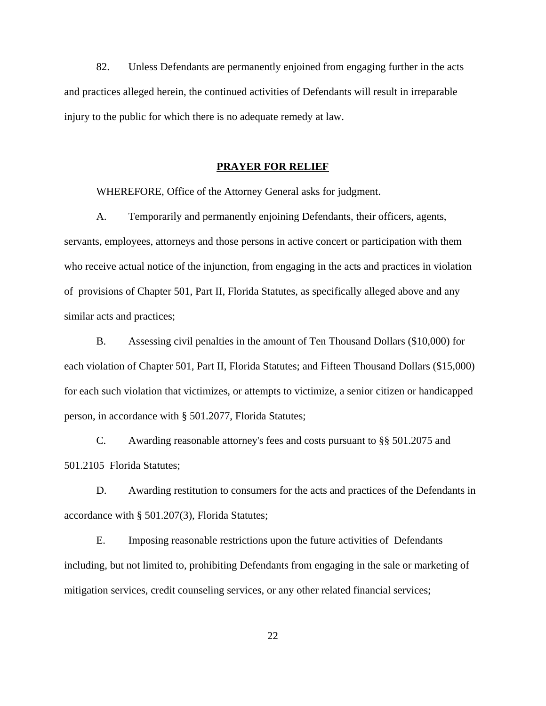82. Unless Defendants are permanently enjoined from engaging further in the acts and practices alleged herein, the continued activities of Defendants will result in irreparable injury to the public for which there is no adequate remedy at law.

#### **PRAYER FOR RELIEF**

WHEREFORE, Office of the Attorney General asks for judgment.

A. Temporarily and permanently enjoining Defendants, their officers, agents, servants, employees, attorneys and those persons in active concert or participation with them who receive actual notice of the injunction, from engaging in the acts and practices in violation of provisions of Chapter 501, Part II, Florida Statutes, as specifically alleged above and any similar acts and practices;

B. Assessing civil penalties in the amount of Ten Thousand Dollars (\$10,000) for each violation of Chapter 501, Part II, Florida Statutes; and Fifteen Thousand Dollars (\$15,000) for each such violation that victimizes, or attempts to victimize, a senior citizen or handicapped person, in accordance with § 501.2077, Florida Statutes;

C. Awarding reasonable attorney's fees and costs pursuant to §§ 501.2075 and 501.2105 Florida Statutes;

D. Awarding restitution to consumers for the acts and practices of the Defendants in accordance with § 501.207(3), Florida Statutes;

E. Imposing reasonable restrictions upon the future activities of Defendants including, but not limited to, prohibiting Defendants from engaging in the sale or marketing of mitigation services, credit counseling services, or any other related financial services;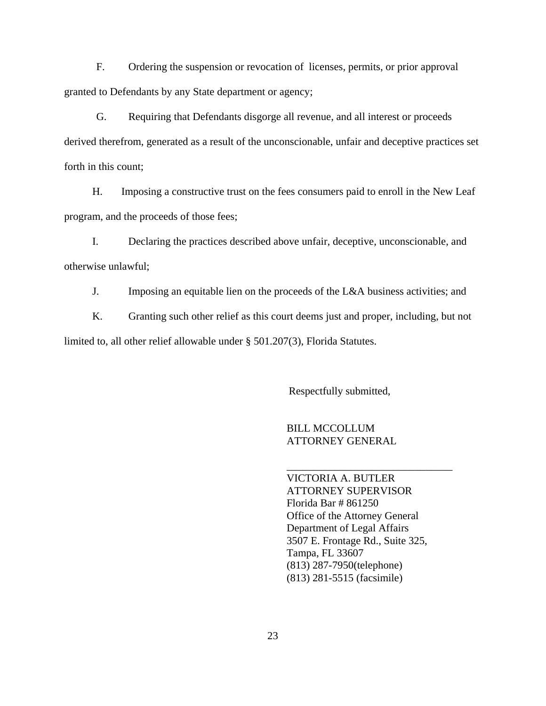F. Ordering the suspension or revocation of licenses, permits, or prior approval granted to Defendants by any State department or agency;

G. Requiring that Defendants disgorge all revenue, and all interest or proceeds derived therefrom, generated as a result of the unconscionable, unfair and deceptive practices set forth in this count;

H. Imposing a constructive trust on the fees consumers paid to enroll in the New Leaf program, and the proceeds of those fees;

I. Declaring the practices described above unfair, deceptive, unconscionable, and otherwise unlawful;

J. Imposing an equitable lien on the proceeds of the L&A business activities; and

K. Granting such other relief as this court deems just and proper, including, but not limited to, all other relief allowable under § 501.207(3), Florida Statutes.

Respectfully submitted,

BILL MCCOLLUM ATTORNEY GENERAL

VICTORIA A. BUTLER ATTORNEY SUPERVISOR Florida Bar # 861250 Office of the Attorney General Department of Legal Affairs 3507 E. Frontage Rd., Suite 325, Tampa, FL 33607 (813) 287-7950(telephone) (813) 281-5515 (facsimile)

\_\_\_\_\_\_\_\_\_\_\_\_\_\_\_\_\_\_\_\_\_\_\_\_\_\_\_\_\_\_\_